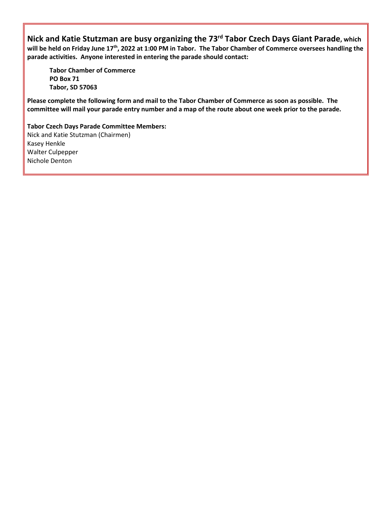**Nick and Katie Stutzman are busy organizing the 73 rd Tabor Czech Days Giant Parade, which will be held on Friday June 17 th, 2022 at 1:00 PM in Tabor. The Tabor Chamber of Commerce oversees handling the parade activities. Anyone interested in entering the parade should contact:**

**Tabor Chamber of Commerce PO Box 71 Tabor, SD 57063**

**Please complete the following form and mail to the Tabor Chamber of Commerce as soon as possible. The committee will mail your parade entry number and a map of the route about one week prior to the parade.**

**Tabor Czech Days Parade Committee Members:** Nick and Katie Stutzman (Chairmen) Kasey Henkle Walter Culpepper Nichole Denton